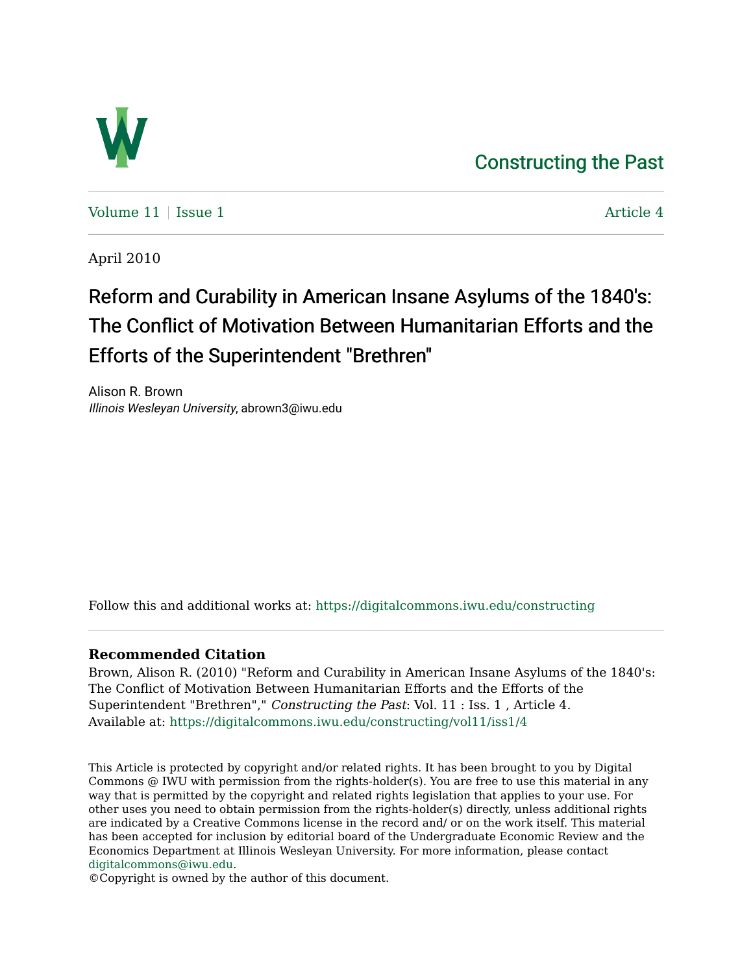## [Constructing the Past](https://digitalcommons.iwu.edu/constructing)



Volume  $11$  | [Issue 1](https://digitalcommons.iwu.edu/constructing/vol11/iss1)  $\blacksquare$ 

April 2010

## Reform and Curability in American Insane Asylums of the 1840's: The Conflict of Motivation Between Humanitarian Efforts and the Efforts of the Superintendent "Brethren"

Alison R. Brown Illinois Wesleyan University, abrown3@iwu.edu

Follow this and additional works at: [https://digitalcommons.iwu.edu/constructing](https://digitalcommons.iwu.edu/constructing?utm_source=digitalcommons.iwu.edu%2Fconstructing%2Fvol11%2Fiss1%2F4&utm_medium=PDF&utm_campaign=PDFCoverPages)

## **Recommended Citation**

Brown, Alison R. (2010) "Reform and Curability in American Insane Asylums of the 1840's: The Conflict of Motivation Between Humanitarian Efforts and the Efforts of the Superintendent "Brethren"," Constructing the Past: Vol. 11 : Iss. 1 , Article 4. Available at: [https://digitalcommons.iwu.edu/constructing/vol11/iss1/4](https://digitalcommons.iwu.edu/constructing/vol11/iss1/4?utm_source=digitalcommons.iwu.edu%2Fconstructing%2Fvol11%2Fiss1%2F4&utm_medium=PDF&utm_campaign=PDFCoverPages)

This Article is protected by copyright and/or related rights. It has been brought to you by Digital Commons @ IWU with permission from the rights-holder(s). You are free to use this material in any way that is permitted by the copyright and related rights legislation that applies to your use. For other uses you need to obtain permission from the rights-holder(s) directly, unless additional rights are indicated by a Creative Commons license in the record and/ or on the work itself. This material has been accepted for inclusion by editorial board of the Undergraduate Economic Review and the Economics Department at Illinois Wesleyan University. For more information, please contact [digitalcommons@iwu.edu.](mailto:digitalcommons@iwu.edu)

©Copyright is owned by the author of this document.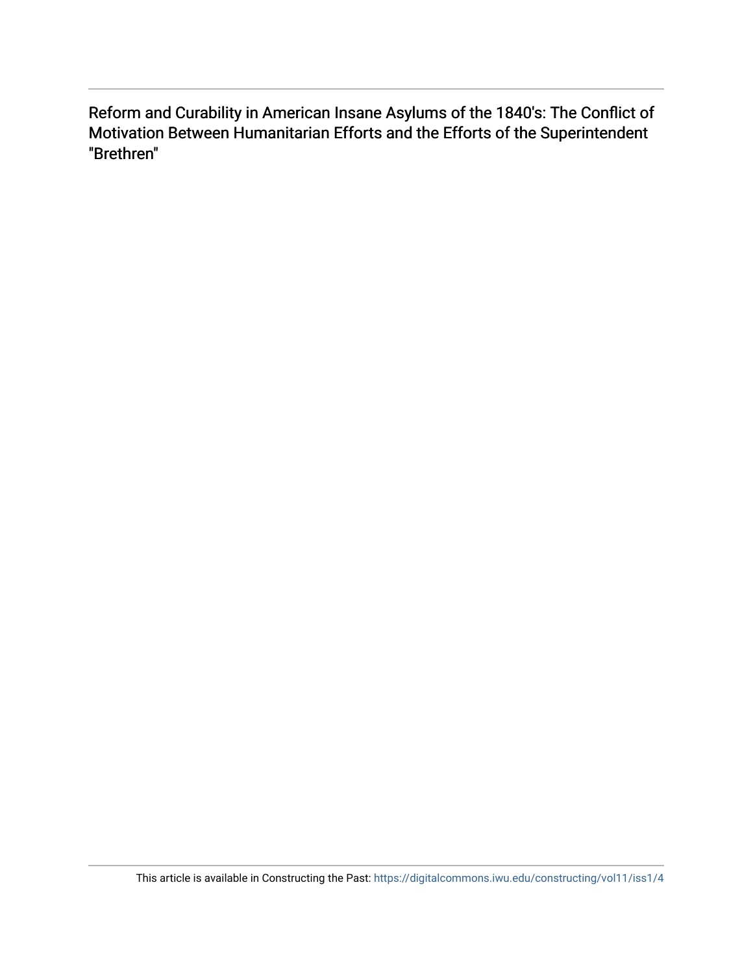Reform and Curability in American Insane Asylums of the 1840's: The Conflict of Motivation Between Humanitarian Efforts and the Efforts of the Superintendent "Brethren"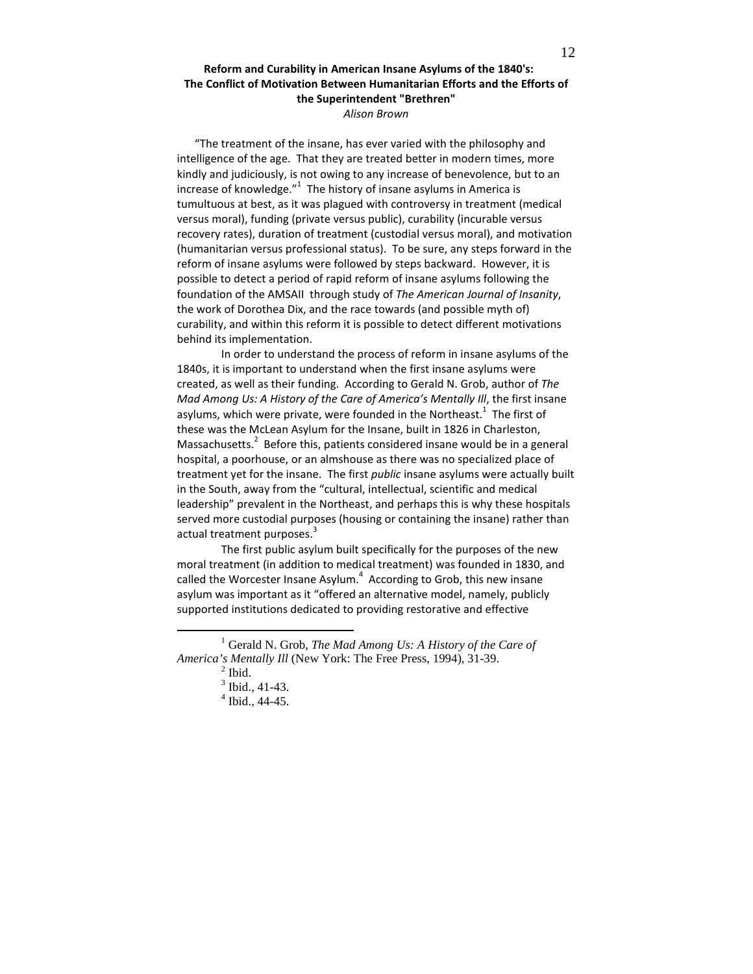## Reform and Curability in American Insane Asylums of the 1840's: The Conflict of Motivation Between Humanitarian Efforts and the Efforts of the Superintendent "Brethren" Alison Brown

"The treatment of the insane, has ever varied with the philosophy and intelligence of the age. That they are treated better in modern times, more kindly and judiciously, is not owing to any increase of benevolence, but to an increase of knowledge." $1$  The history of insane asylums in America is tumultuous at best, as it was plagued with controversy in treatment (medical versus moral), funding (private versus public), curability (incurable versus recovery rates), duration of treatment (custodial versus moral), and motivation (humanitarian versus professional status). To be sure, any steps forward in the reform of insane asylums were followed by steps backward. However, it is possible to detect a period of rapid reform of insane asylums following the foundation of the AMSAII through study of The American Journal of Insanity, the work of Dorothea Dix, and the race towards (and possible myth of) curability, and within this reform it is possible to detect different motivations behind its implementation.

In order to understand the process of reform in insane asylums of the 1840s, it is important to understand when the first insane asylums were created, as well as their funding. According to Gerald N. Grob, author of The Mad Among Us: A History of the Care of America's Mentally Ill, the first insane asylums, which were private, were founded in the Northeast. $^{1}$  The first of these was the McLean Asylum for the Insane, built in 1826 in Charleston, Massachusetts. $2$  Before this, patients considered insane would be in a general hospital, a poorhouse, or an almshouse as there was no specialized place of treatment yet for the insane. The first *public* insane asylums were actually built in the South, away from the "cultural, intellectual, scientific and medical leadership" prevalent in the Northeast, and perhaps this is why these hospitals served more custodial purposes (housing or containing the insane) rather than actual treatment purposes.<sup>3</sup>

The first public asylum built specifically for the purposes of the new moral treatment (in addition to medical treatment) was founded in 1830, and called the Worcester Insane Asylum. $<sup>4</sup>$  According to Grob, this new insane</sup> asylum was important as it "offered an alternative model, namely, publicly supported institutions dedicated to providing restorative and effective

<sup>&</sup>lt;sup>1</sup> Gerald N. Grob, *The Mad Among Us: A History of the Care of America's Mentally Ill* (New York: The Free Press, 1994), 31-39.

 $<sup>2</sup>$  Ibid.</sup>

 $3$  Ibid., 41-43.

 $4$  Ibid., 44-45.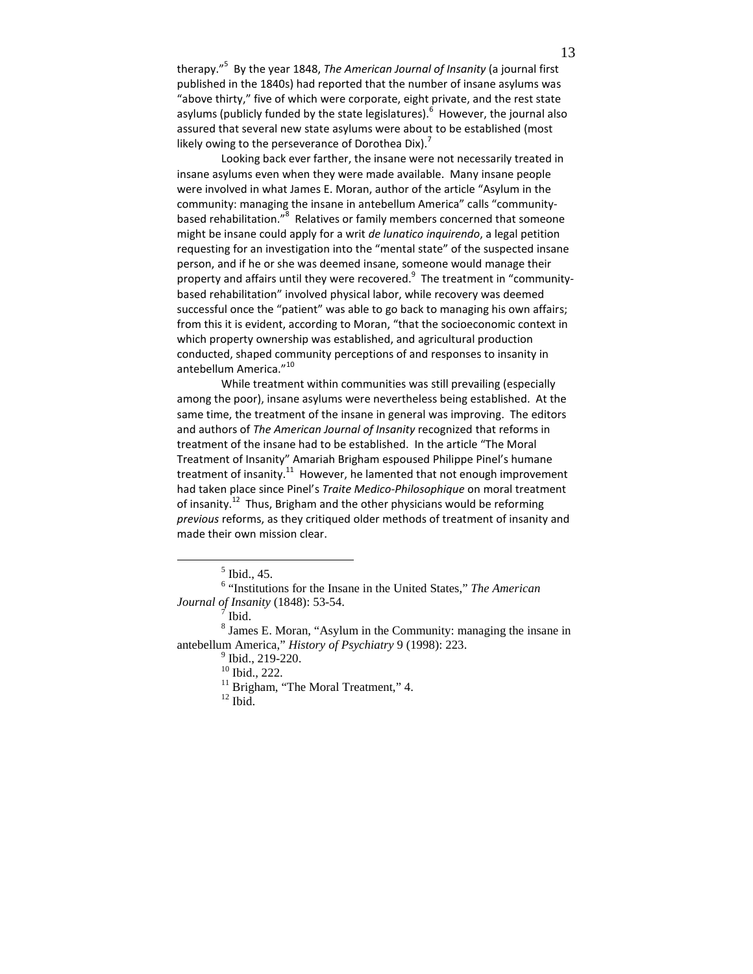therapy."<sup>5</sup> By the year 1848, Th*e American Journal of Insanity* (a journal first published in the 1840s) had reported that the number of insane asylums was "above thirty," five of which were corporate, eight private, and the rest state asylums (publicly funded by the state legislatures).<sup>6</sup> However, the journal also assured that several new state asylums were about to be established (most likely owing to the perseverance of Dorothea Dix).<sup>7</sup>

Looking back ever farther, the insane were not necessarily treated in insane asylums even when they were made available. Many insane people were involved in what James E. Moran, author of the article "Asylum in the community: managing the insane in antebellum America" calls "communitybased rehabilitation."<sup>8</sup> Relatives or family members concerned that someone might be insane could apply for a writ de lunatico inquirendo, a legal petition requesting for an investigation into the "mental state" of the suspected insane person, and if he or she was deemed insane, someone would manage their property and affairs until they were recovered. $^9$  The treatment in "communitybased rehabilitation" involved physical labor, while recovery was deemed successful once the "patient" was able to go back to managing his own affairs; from this it is evident, according to Moran, "that the socioeconomic context in which property ownership was established, and agricultural production conducted, shaped community perceptions of and responses to insanity in antebellum America."<sup>10</sup>

While treatment within communities was still prevailing (especially among the poor), insane asylums were nevertheless being established. At the same time, the treatment of the insane in general was improving. The editors and authors of The American Journal of Insanity recognized that reforms in treatment of the insane had to be established. In the article "The Moral Treatment of Insanity" Amariah Brigham espoused Philippe Pinel's humane treatment of insanity.<sup>11</sup> However, he lamented that not enough improvement had taken place since Pinel's Traite Medico-Philosophique on moral treatment of insanity.<sup>12</sup> Thus, Brigham and the other physicians would be reforming previous reforms, as they critiqued older methods of treatment of insanity and made their own mission clear.

 $\overline{a}$ 

<sup>8</sup> James E. Moran, "Asylum in the Community: managing the insane in antebellum America," *History of Psychiatry* 9 (1998): 223.

<sup>5</sup> Ibid., 45.

<sup>6</sup> "Institutions for the Insane in the United States," *The American Journal of Insanity* (1848): 53-54.

 $\tilde{7}$  Ibid.

<sup>&</sup>lt;sup>9</sup> Ibid., 219-220.

<sup>10</sup> Ibid., 222.

<sup>&</sup>lt;sup>11</sup> Brigham, "The Moral Treatment," 4.

 $12$  Ibid.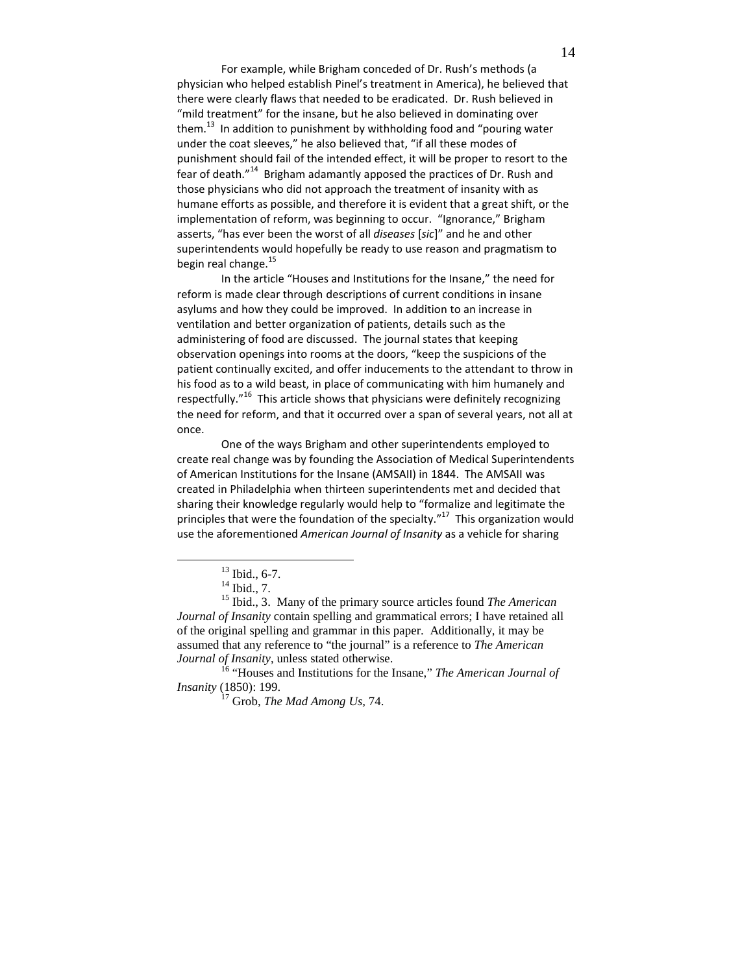For example, while Brigham conceded of Dr. Rush's methods (a physician who helped establish Pinel's treatment in America), he believed that there were clearly flaws that needed to be eradicated. Dr. Rush believed in "mild treatment" for the insane, but he also believed in dominating over them. $^{13}$  In addition to punishment by withholding food and "pouring water under the coat sleeves," he also believed that, "if all these modes of punishment should fail of the intended effect, it will be proper to resort to the fear of death."<sup>14</sup> Brigham adamantly apposed the practices of Dr. Rush and those physicians who did not approach the treatment of insanity with as humane efforts as possible, and therefore it is evident that a great shift, or the implementation of reform, was beginning to occur. "Ignorance," Brigham asserts, "has ever been the worst of all diseases [sic]" and he and other superintendents would hopefully be ready to use reason and pragmatism to begin real change.<sup>15</sup>

 In the article "Houses and Institutions for the Insane," the need for reform is made clear through descriptions of current conditions in insane asylums and how they could be improved. In addition to an increase in ventilation and better organization of patients, details such as the administering of food are discussed. The journal states that keeping observation openings into rooms at the doors, "keep the suspicions of the patient continually excited, and offer inducements to the attendant to throw in his food as to a wild beast, in place of communicating with him humanely and respectfully."<sup>16</sup> This article shows that physicians were definitely recognizing the need for reform, and that it occurred over a span of several years, not all at once.

One of the ways Brigham and other superintendents employed to create real change was by founding the Association of Medical Superintendents of American Institutions for the Insane (AMSAII) in 1844. The AMSAII was created in Philadelphia when thirteen superintendents met and decided that sharing their knowledge regularly would help to "formalize and legitimate the principles that were the foundation of the specialty." $17$  This organization would use the aforementioned American Journal of Insanity as a vehicle for sharing

 $\overline{a}$ 

<sup>16</sup> "Houses and Institutions for the Insane," *The American Journal of Insanity* (1850): 199.

<sup>17</sup> Grob, *The Mad Among Us,* 74.

 $13$  Ibid., 6-7.

 $14$  Ibid., 7.

<sup>15</sup> Ibid., 3. Many of the primary source articles found *The American Journal of Insanity* contain spelling and grammatical errors; I have retained all of the original spelling and grammar in this paper. Additionally, it may be assumed that any reference to "the journal" is a reference to *The American Journal of Insanity*, unless stated otherwise.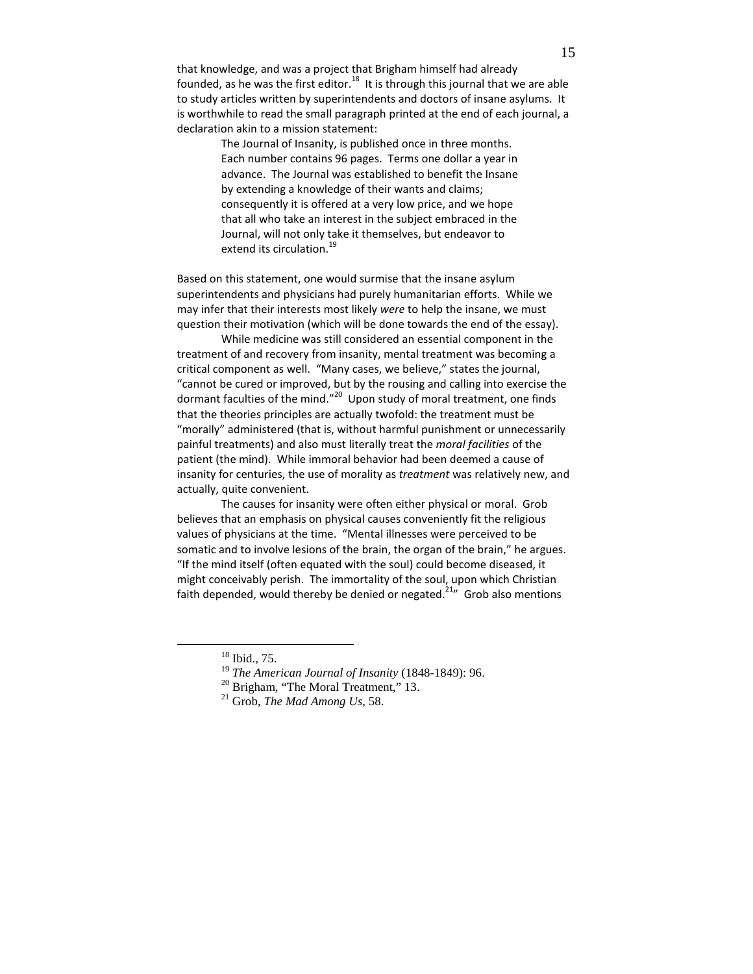that knowledge, and was a project that Brigham himself had already founded, as he was the first editor. $18$  It is through this journal that we are able to study articles written by superintendents and doctors of insane asylums. It is worthwhile to read the small paragraph printed at the end of each journal, a declaration akin to a mission statement:

> The Journal of Insanity, is published once in three months. Each number contains 96 pages. Terms one dollar a year in advance. The Journal was established to benefit the Insane by extending a knowledge of their wants and claims; consequently it is offered at a very low price, and we hope that all who take an interest in the subject embraced in the Journal, will not only take it themselves, but endeavor to extend its circulation.<sup>19</sup>

Based on this statement, one would surmise that the insane asylum superintendents and physicians had purely humanitarian efforts. While we may infer that their interests most likely were to help the insane, we must question their motivation (which will be done towards the end of the essay).

 While medicine was still considered an essential component in the treatment of and recovery from insanity, mental treatment was becoming a critical component as well. "Many cases, we believe," states the journal, "cannot be cured or improved, but by the rousing and calling into exercise the dormant faculties of the mind."<sup>20</sup> Upon study of moral treatment, one finds that the theories principles are actually twofold: the treatment must be "morally" administered (that is, without harmful punishment or unnecessarily painful treatments) and also must literally treat the moral facilities of the patient (the mind). While immoral behavior had been deemed a cause of insanity for centuries, the use of morality as treatment was relatively new, and actually, quite convenient.

 The causes for insanity were often either physical or moral. Grob believes that an emphasis on physical causes conveniently fit the religious values of physicians at the time. "Mental illnesses were perceived to be somatic and to involve lesions of the brain, the organ of the brain," he argues. "If the mind itself (often equated with the soul) could become diseased, it might conceivably perish. The immortality of the soul, upon which Christian faith depended, would thereby be denied or negated.<sup>21</sup> Grob also mentions

<sup>18</sup> Ibid., 75.

<sup>19</sup> *The American Journal of Insanity* (1848-1849): 96.

<sup>&</sup>lt;sup>20</sup> Brigham, "The Moral Treatment," 13.

<sup>21</sup> Grob, *The Mad Among Us*, 58.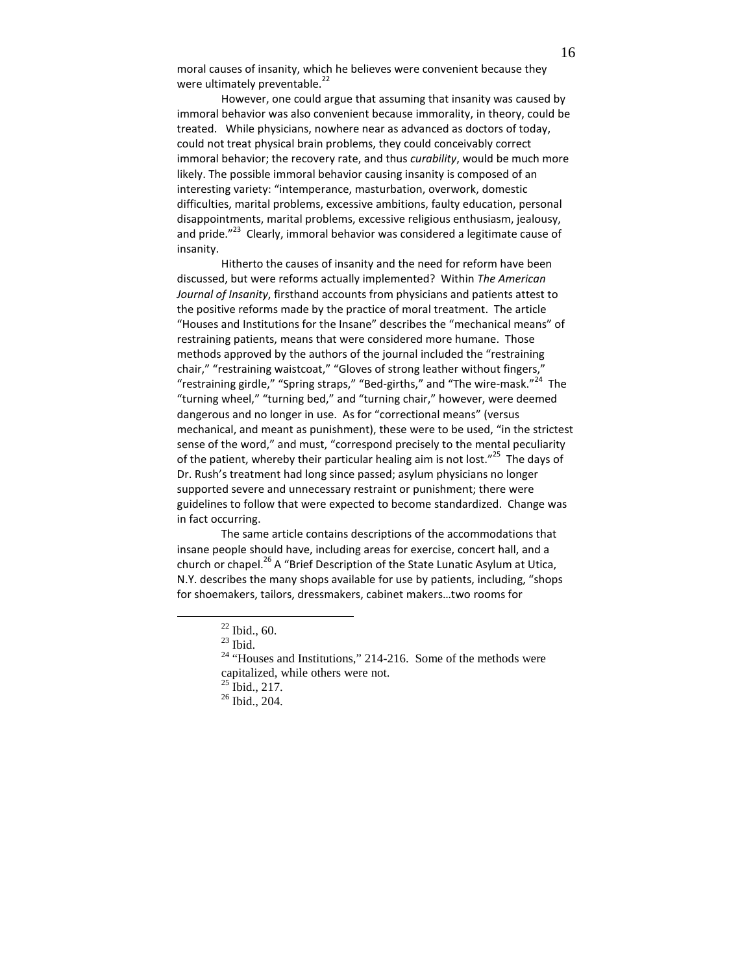moral causes of insanity, which he believes were convenient because they were ultimately preventable.<sup>22</sup>

However, one could argue that assuming that insanity was caused by immoral behavior was also convenient because immorality, in theory, could be treated. While physicians, nowhere near as advanced as doctors of today, could not treat physical brain problems, they could conceivably correct immoral behavior; the recovery rate, and thus curability, would be much more likely. The possible immoral behavior causing insanity is composed of an interesting variety: "intemperance, masturbation, overwork, domestic difficulties, marital problems, excessive ambitions, faulty education, personal disappointments, marital problems, excessive religious enthusiasm, jealousy, and pride."<sup>23</sup> Clearly, immoral behavior was considered a legitimate cause of insanity.

Hitherto the causes of insanity and the need for reform have been discussed, but were reforms actually implemented? Within The American Journal of Insanity, firsthand accounts from physicians and patients attest to the positive reforms made by the practice of moral treatment. The article "Houses and Institutions for the Insane" describes the "mechanical means" of restraining patients, means that were considered more humane. Those methods approved by the authors of the journal included the "restraining chair," "restraining waistcoat," "Gloves of strong leather without fingers,' "restraining girdle," "Spring straps," "Bed-girths," and "The wire-mask."<sup>24</sup> The "turning wheel," "turning bed," and "turning chair," however, were deemed dangerous and no longer in use. As for "correctional means" (versus mechanical, and meant as punishment), these were to be used, "in the strictest sense of the word," and must, "correspond precisely to the mental peculiarity of the patient, whereby their particular healing aim is not lost."<sup>25</sup> The days of Dr. Rush's treatment had long since passed; asylum physicians no longer supported severe and unnecessary restraint or punishment; there were guidelines to follow that were expected to become standardized. Change was in fact occurring.

The same article contains descriptions of the accommodations that insane people should have, including areas for exercise, concert hall, and a church or chapel.<sup>26</sup> A "Brief Description of the State Lunatic Asylum at Utica, N.Y. describes the many shops available for use by patients, including, "shops for shoemakers, tailors, dressmakers, cabinet makers…two rooms for

 $22$  Ibid., 60.

 $23$  Ibid.

 $24$  "Houses and Institutions," 214-216. Some of the methods were capitalized, while others were not.

 $^{25}$  Ibid., 217.

<sup>26</sup> Ibid., 204.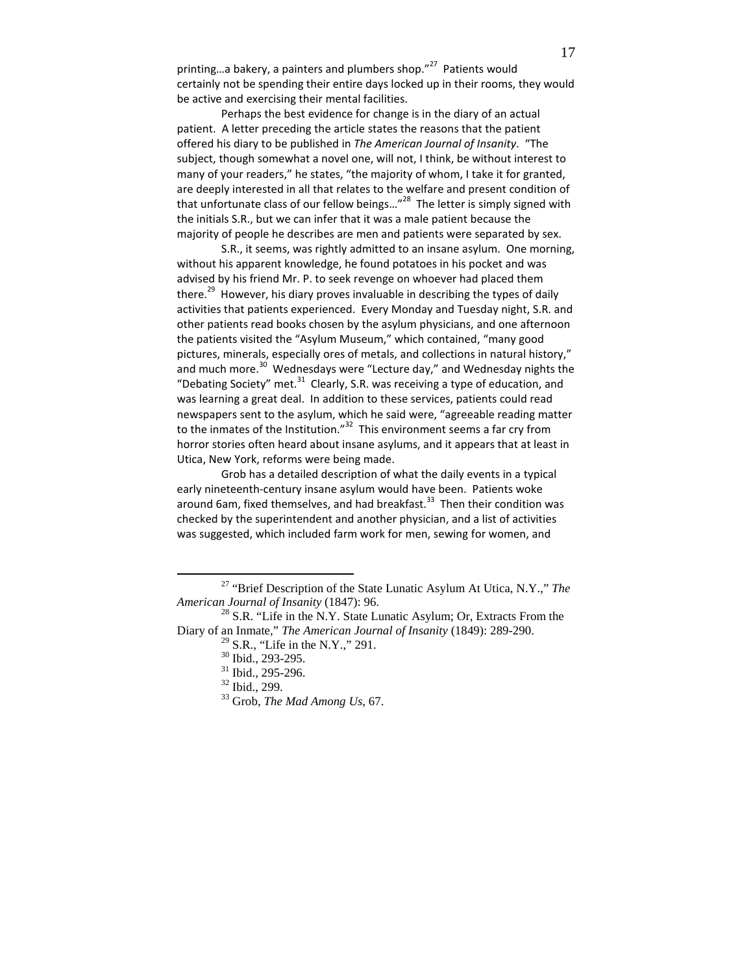printing...a bakery, a painters and plumbers shop."<sup>27</sup> Patients would certainly not be spending their entire days locked up in their rooms, they would be active and exercising their mental facilities.

Perhaps the best evidence for change is in the diary of an actual patient. A letter preceding the article states the reasons that the patient offered his diary to be published in The American Journal of Insanity. "The subject, though somewhat a novel one, will not, I think, be without interest to many of your readers," he states, "the majority of whom, I take it for granted, are deeply interested in all that relates to the welfare and present condition of that unfortunate class of our fellow beings..."<sup>28</sup> The letter is simply signed with the initials S.R., but we can infer that it was a male patient because the majority of people he describes are men and patients were separated by sex.

S.R., it seems, was rightly admitted to an insane asylum. One morning, without his apparent knowledge, he found potatoes in his pocket and was advised by his friend Mr. P. to seek revenge on whoever had placed them there.<sup>29</sup> However, his diary proves invaluable in describing the types of daily activities that patients experienced. Every Monday and Tuesday night, S.R. and other patients read books chosen by the asylum physicians, and one afternoon the patients visited the "Asylum Museum," which contained, "many good pictures, minerals, especially ores of metals, and collections in natural history," and much more. $30$  Wednesdays were "Lecture day," and Wednesday nights the "Debating Society" met. $31$  Clearly, S.R. was receiving a type of education, and was learning a great deal. In addition to these services, patients could read newspapers sent to the asylum, which he said were, "agreeable reading matter to the inmates of the Institution."<sup>32</sup> This environment seems a far cry from horror stories often heard about insane asylums, and it appears that at least in Utica, New York, reforms were being made.

Grob has a detailed description of what the daily events in a typical early nineteenth-century insane asylum would have been. Patients woke around 6am, fixed themselves, and had breakfast.<sup>33</sup> Then their condition was checked by the superintendent and another physician, and a list of activities was suggested, which included farm work for men, sewing for women, and

<sup>27</sup> "Brief Description of the State Lunatic Asylum At Utica, N.Y.," *The American Journal of Insanity* (1847): 96.

 $^{28}$  S.R. "Life in the N.Y. State Lunatic Asylum; Or, Extracts From the Diary of an Inmate," *The American Journal of Insanity* (1849): 289-290.

 $29$  S.R., "Life in the N.Y.," 291.

<sup>30</sup> Ibid., 293-295.

<sup>31</sup> Ibid., 295-296.

<sup>32</sup> Ibid., 299.

<sup>33</sup> Grob, *The Mad Among Us*, 67.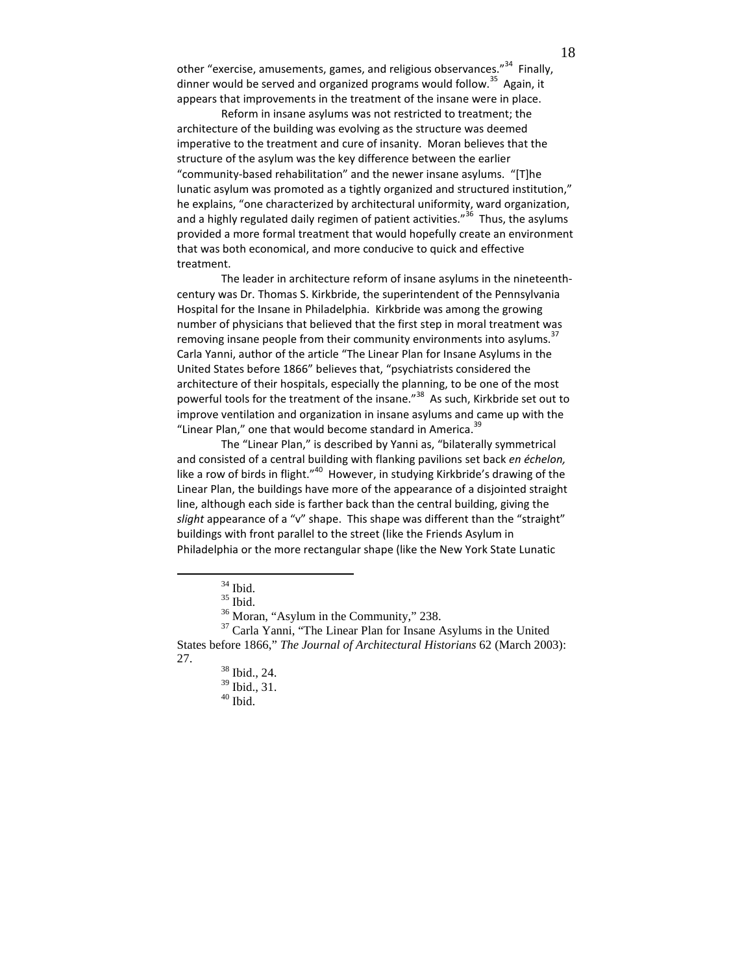other "exercise, amusements, games, and religious observances."<sup>34</sup> Finally, dinner would be served and organized programs would follow.<sup>35</sup> Again, it appears that improvements in the treatment of the insane were in place.

Reform in insane asylums was not restricted to treatment; the architecture of the building was evolving as the structure was deemed imperative to the treatment and cure of insanity. Moran believes that the structure of the asylum was the key difference between the earlier "community-based rehabilitation" and the newer insane asylums. "[T]he lunatic asylum was promoted as a tightly organized and structured institution," he explains, "one characterized by architectural uniformity, ward organization, and a highly regulated daily regimen of patient activities."<sup>36</sup> Thus, the asylums provided a more formal treatment that would hopefully create an environment that was both economical, and more conducive to quick and effective treatment.

The leader in architecture reform of insane asylums in the nineteenthcentury was Dr. Thomas S. Kirkbride, the superintendent of the Pennsylvania Hospital for the Insane in Philadelphia. Kirkbride was among the growing number of physicians that believed that the first step in moral treatment was removing insane people from their community environments into asylums.<sup>37</sup> Carla Yanni, author of the article "The Linear Plan for Insane Asylums in the United States before 1866" believes that, "psychiatrists considered the architecture of their hospitals, especially the planning, to be one of the most powerful tools for the treatment of the insane."<sup>38</sup> As such, Kirkbride set out to improve ventilation and organization in insane asylums and came up with the "Linear Plan," one that would become standard in America.<sup>39</sup>

The "Linear Plan," is described by Yanni as, "bilaterally symmetrical and consisted of a central building with flanking pavilions set back en échelon, like a row of birds in flight."<sup>40</sup> However, in studying Kirkbride's drawing of the Linear Plan, the buildings have more of the appearance of a disjointed straight line, although each side is farther back than the central building, giving the slight appearance of a "v" shape. This shape was different than the "straight" buildings with front parallel to the street (like the Friends Asylum in Philadelphia or the more rectangular shape (like the New York State Lunatic

 $^\mathrm{34}$  Ibid.

 $35$  Ibid.

<sup>36</sup> Moran, "Asylum in the Community," 238.

<sup>37</sup> Carla Yanni, "The Linear Plan for Insane Asylums in the United States before 1866," *The Journal of Architectural Historians* 62 (March 2003): 27.

<sup>38</sup> Ibid., 24.

<sup>39</sup> Ibid., 31.

 $^{40}$  Ibid.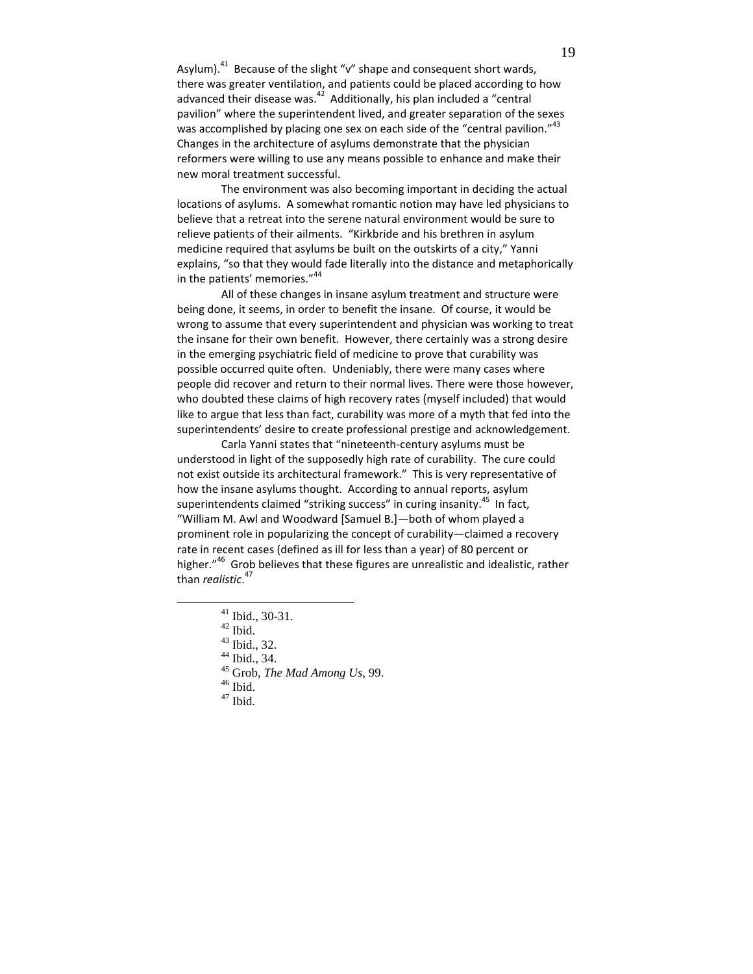Asylum).<sup>41</sup> Because of the slight "v" shape and consequent short wards, there was greater ventilation, and patients could be placed according to how advanced their disease was.<sup>42</sup> Additionally, his plan included a "central pavilion" where the superintendent lived, and greater separation of the sexes was accomplished by placing one sex on each side of the "central pavilion." $43$ Changes in the architecture of asylums demonstrate that the physician reformers were willing to use any means possible to enhance and make their new moral treatment successful.

The environment was also becoming important in deciding the actual locations of asylums. A somewhat romantic notion may have led physicians to believe that a retreat into the serene natural environment would be sure to relieve patients of their ailments. "Kirkbride and his brethren in asylum medicine required that asylums be built on the outskirts of a city," Yanni explains, "so that they would fade literally into the distance and metaphorically in the patients' memories."<sup>44</sup>

All of these changes in insane asylum treatment and structure were being done, it seems, in order to benefit the insane. Of course, it would be wrong to assume that every superintendent and physician was working to treat the insane for their own benefit. However, there certainly was a strong desire in the emerging psychiatric field of medicine to prove that curability was possible occurred quite often. Undeniably, there were many cases where people did recover and return to their normal lives. There were those however, who doubted these claims of high recovery rates (myself included) that would like to argue that less than fact, curability was more of a myth that fed into the superintendents' desire to create professional prestige and acknowledgement.

Carla Yanni states that "nineteenth-century asylums must be understood in light of the supposedly high rate of curability. The cure could not exist outside its architectural framework." This is very representative of how the insane asylums thought. According to annual reports, asylum superintendents claimed "striking success" in curing insanity.<sup>45</sup> In fact, "William M. Awl and Woodward [Samuel B.]—both of whom played a prominent role in popularizing the concept of curability—claimed a recovery rate in recent cases (defined as ill for less than a year) of 80 percent or higher."<sup>46</sup> Grob believes that these figures are unrealistic and idealistic, rather than *realistic*.<sup>47</sup>

<sup>41</sup> Ibid., 30-31.

 $42$  Ibid.

<sup>43</sup> Ibid., 32.

<sup>44</sup> Ibid., 34.

<sup>45</sup> Grob, *The Mad Among Us*, 99.

 $^{\rm 46}$  Ibid.

 $^{47}$  Ibid.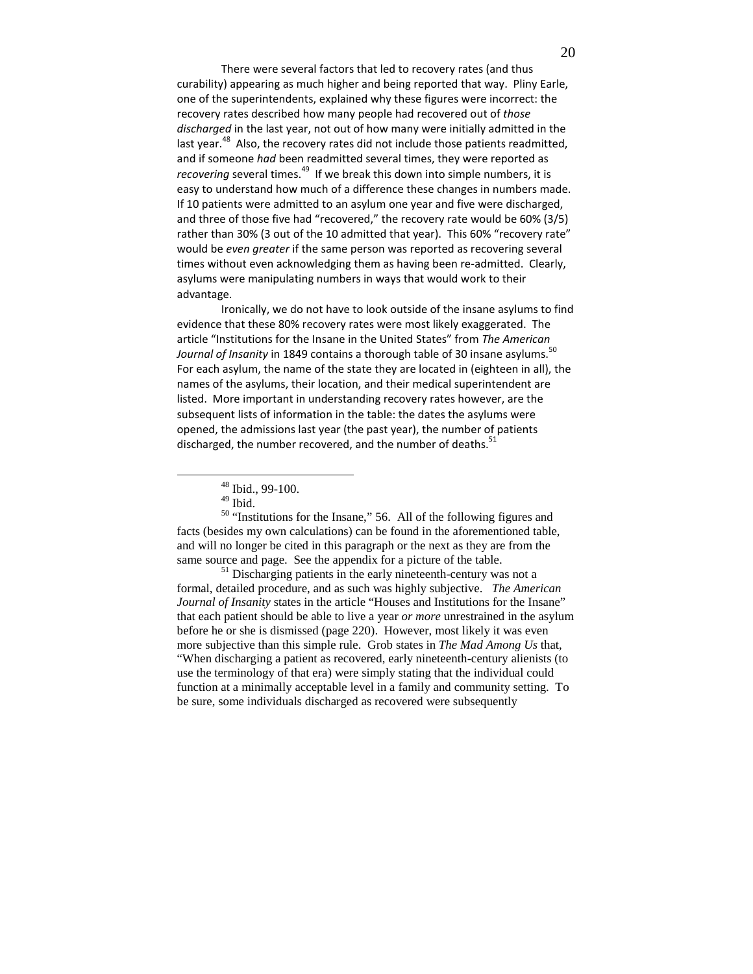There were several factors that led to recovery rates (and thus curability) appearing as much higher and being reported that way. Pliny Earle, one of the superintendents, explained why these figures were incorrect: the recovery rates described how many people had recovered out of those discharged in the last year, not out of how many were initially admitted in the last year.<sup>48</sup> Also, the recovery rates did not include those patients readmitted, and if someone had been readmitted several times, they were reported as recovering several times.<sup>49</sup> If we break this down into simple numbers, it is easy to understand how much of a difference these changes in numbers made. If 10 patients were admitted to an asylum one year and five were discharged, and three of those five had "recovered," the recovery rate would be 60% (3/5) rather than 30% (3 out of the 10 admitted that year). This 60% "recovery rate" would be even greater if the same person was reported as recovering several times without even acknowledging them as having been re-admitted. Clearly, asylums were manipulating numbers in ways that would work to their advantage.

Ironically, we do not have to look outside of the insane asylums to find evidence that these 80% recovery rates were most likely exaggerated. The article "Institutions for the Insane in the United States" from The American *Journal of Insanity* in 1849 contains a thorough table of 30 insane asylums.  $^{50}$ For each asylum, the name of the state they are located in (eighteen in all), the names of the asylums, their location, and their medical superintendent are listed. More important in understanding recovery rates however, are the subsequent lists of information in the table: the dates the asylums were opened, the admissions last year (the past year), the number of patients discharged, the number recovered, and the number of deaths.<sup>51</sup>

<u>.</u>

<sup>50</sup> "Institutions for the Insane," 56. All of the following figures and facts (besides my own calculations) can be found in the aforementioned table, and will no longer be cited in this paragraph or the next as they are from the same source and page. See the appendix for a picture of the table.

<sup>51</sup> Discharging patients in the early nineteenth-century was not a formal, detailed procedure, and as such was highly subjective. *The American Journal of Insanity* states in the article "Houses and Institutions for the Insane" that each patient should be able to live a year *or more* unrestrained in the asylum before he or she is dismissed (page 220). However, most likely it was even more subjective than this simple rule. Grob states in *The Mad Among Us* that, "When discharging a patient as recovered, early nineteenth-century alienists (to use the terminology of that era) were simply stating that the individual could function at a minimally acceptable level in a family and community setting. To be sure, some individuals discharged as recovered were subsequently

<sup>48</sup> Ibid., 99-100.

<sup>&</sup>lt;sup>49</sup> Ibid.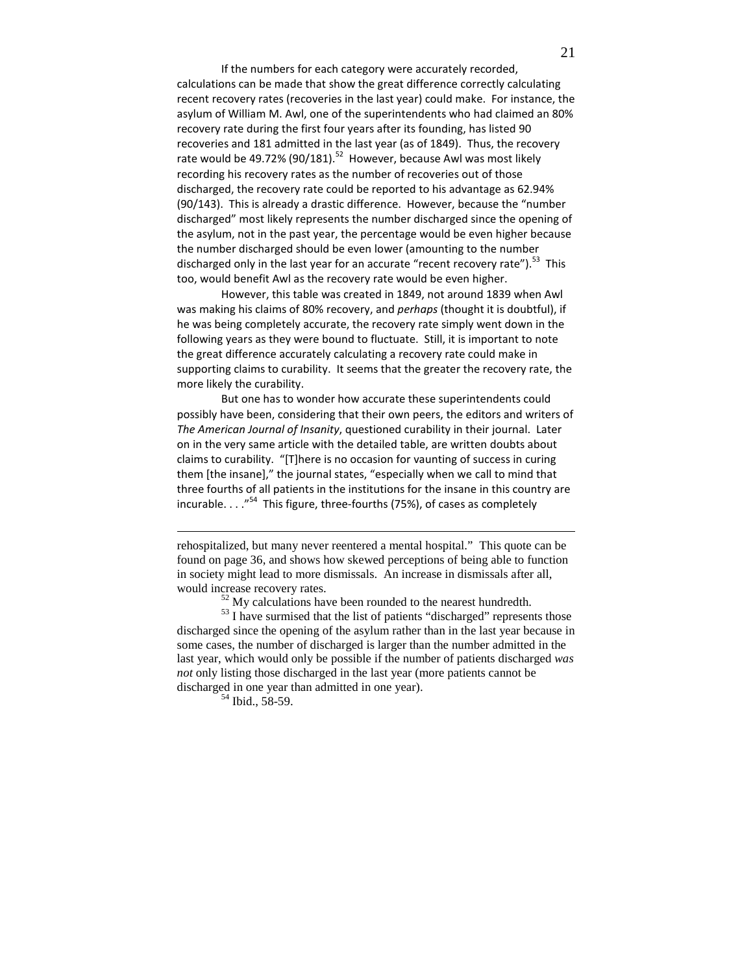If the numbers for each category were accurately recorded, calculations can be made that show the great difference correctly calculating recent recovery rates (recoveries in the last year) could make. For instance, the asylum of William M. Awl, one of the superintendents who had claimed an 80% recovery rate during the first four years after its founding, has listed 90 recoveries and 181 admitted in the last year (as of 1849). Thus, the recovery rate would be 49.72% (90/181).<sup>52</sup> However, because Awl was most likely recording his recovery rates as the number of recoveries out of those discharged, the recovery rate could be reported to his advantage as 62.94% (90/143). This is already a drastic difference. However, because the "number discharged" most likely represents the number discharged since the opening of the asylum, not in the past year, the percentage would be even higher because the number discharged should be even lower (amounting to the number discharged only in the last year for an accurate "recent recovery rate").<sup>53</sup> This too, would benefit Awl as the recovery rate would be even higher.

However, this table was created in 1849, not around 1839 when Awl was making his claims of 80% recovery, and perhaps (thought it is doubtful), if he was being completely accurate, the recovery rate simply went down in the following years as they were bound to fluctuate. Still, it is important to note the great difference accurately calculating a recovery rate could make in supporting claims to curability. It seems that the greater the recovery rate, the more likely the curability.

But one has to wonder how accurate these superintendents could possibly have been, considering that their own peers, the editors and writers of The American Journal of Insanity, questioned curability in their journal. Later on in the very same article with the detailed table, are written doubts about claims to curability. "[T]here is no occasion for vaunting of success in curing them [the insane]," the journal states, "especially when we call to mind that three fourths of all patients in the institutions for the insane in this country are incurable.  $\ldots$ <sup>54</sup> This figure, three-fourths (75%), of cases as completely

 $52$  My calculations have been rounded to the nearest hundredth.

 $<sup>53</sup>$  I have surmised that the list of patients "discharged" represents those</sup> discharged since the opening of the asylum rather than in the last year because in some cases, the number of discharged is larger than the number admitted in the last year, which would only be possible if the number of patients discharged *was not* only listing those discharged in the last year (more patients cannot be discharged in one year than admitted in one year).

<sup>54</sup> Ibid., 58-59.

rehospitalized, but many never reentered a mental hospital." This quote can be found on page 36, and shows how skewed perceptions of being able to function in society might lead to more dismissals. An increase in dismissals after all, would increase recovery rates.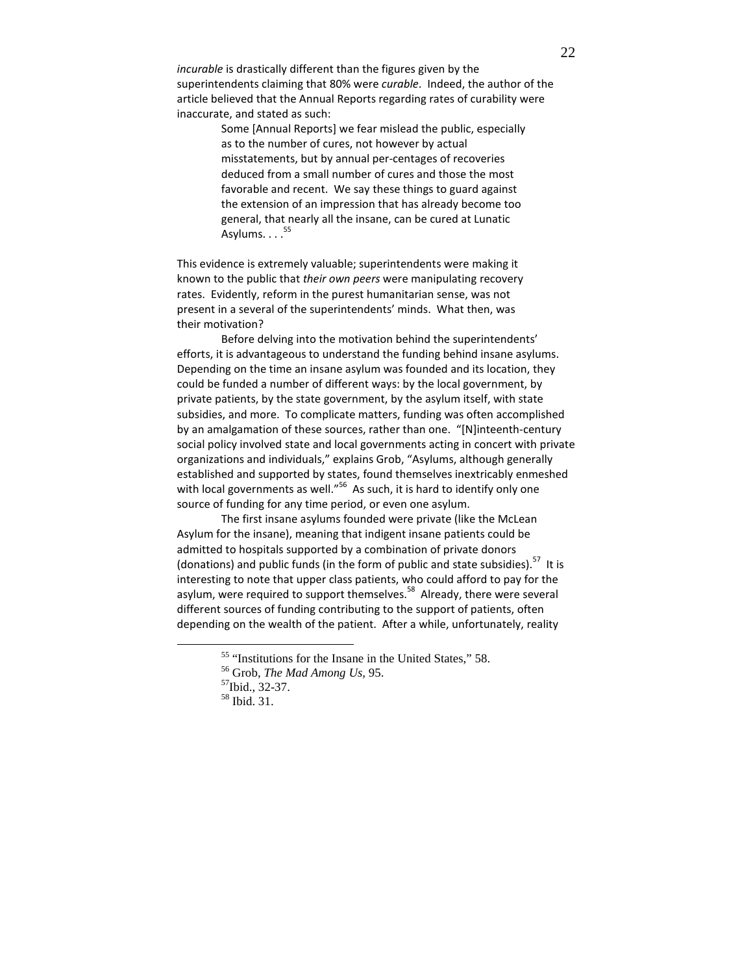incurable is drastically different than the figures given by the superintendents claiming that 80% were curable. Indeed, the author of the article believed that the Annual Reports regarding rates of curability were inaccurate, and stated as such:

> Some [Annual Reports] we fear mislead the public, especially as to the number of cures, not however by actual misstatements, but by annual per-centages of recoveries deduced from a small number of cures and those the most favorable and recent. We say these things to guard against the extension of an impression that has already become too general, that nearly all the insane, can be cured at Lunatic Asylums. . . . <sup>55</sup>

This evidence is extremely valuable; superintendents were making it known to the public that their own peers were manipulating recovery rates. Evidently, reform in the purest humanitarian sense, was not present in a several of the superintendents' minds. What then, was their motivation?

Before delving into the motivation behind the superintendents' efforts, it is advantageous to understand the funding behind insane asylums. Depending on the time an insane asylum was founded and its location, they could be funded a number of different ways: by the local government, by private patients, by the state government, by the asylum itself, with state subsidies, and more. To complicate matters, funding was often accomplished by an amalgamation of these sources, rather than one. "[N]inteenth-century social policy involved state and local governments acting in concert with private organizations and individuals," explains Grob, "Asylums, although generally established and supported by states, found themselves inextricably enmeshed with local governments as well."<sup>56</sup> As such, it is hard to identify only one source of funding for any time period, or even one asylum.

The first insane asylums founded were private (like the McLean Asylum for the insane), meaning that indigent insane patients could be admitted to hospitals supported by a combination of private donors (donations) and public funds (in the form of public and state subsidies).<sup>57</sup> It is interesting to note that upper class patients, who could afford to pay for the asylum, were required to support themselves.<sup>58</sup> Already, there were several different sources of funding contributing to the support of patients, often depending on the wealth of the patient. After a while, unfortunately, reality

<sup>55</sup> "Institutions for the Insane in the United States," 58.

<sup>56</sup> Grob, *The Mad Among Us,* 95.

<sup>57</sup>Ibid., 32-37.

<sup>58</sup> Ibid. 31.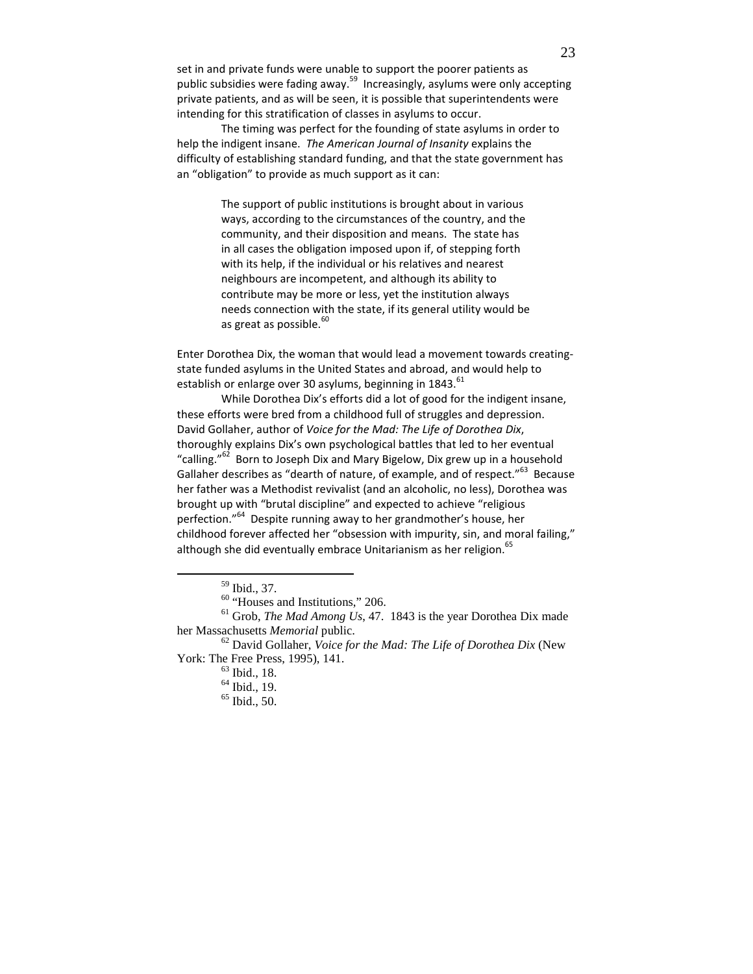set in and private funds were unable to support the poorer patients as public subsidies were fading away.<sup>59</sup> Increasingly, asylums were only accepting private patients, and as will be seen, it is possible that superintendents were intending for this stratification of classes in asylums to occur.

The timing was perfect for the founding of state asylums in order to help the indigent insane. The American Journal of Insanity explains the difficulty of establishing standard funding, and that the state government has an "obligation" to provide as much support as it can:

> The support of public institutions is brought about in various ways, according to the circumstances of the country, and the community, and their disposition and means. The state has in all cases the obligation imposed upon if, of stepping forth with its help, if the individual or his relatives and nearest neighbours are incompetent, and although its ability to contribute may be more or less, yet the institution always needs connection with the state, if its general utility would be as great as possible.<sup>60</sup>

Enter Dorothea Dix, the woman that would lead a movement towards creatingstate funded asylums in the United States and abroad, and would help to establish or enlarge over 30 asylums, beginning in 1843.<sup>61</sup>

While Dorothea Dix's efforts did a lot of good for the indigent insane, these efforts were bred from a childhood full of struggles and depression. David Gollaher, author of Voice for the Mad: The Life of Dorothea Dix, thoroughly explains Dix's own psychological battles that led to her eventual "calling."<sup>62</sup> Born to Joseph Dix and Mary Bigelow, Dix grew up in a household Gallaher describes as "dearth of nature, of example, and of respect."<sup>63</sup> Because her father was a Methodist revivalist (and an alcoholic, no less), Dorothea was brought up with "brutal discipline" and expected to achieve "religious perfection."<sup>64</sup> Despite running away to her grandmother's house, her childhood forever affected her "obsession with impurity, sin, and moral failing," although she did eventually embrace Unitarianism as her religion.<sup>65</sup>

<sup>59</sup> Ibid., 37.

<sup>&</sup>lt;sup>60</sup> "Houses and Institutions," 206.

<sup>61</sup> Grob, *The Mad Among Us*, 47. 1843 is the year Dorothea Dix made her Massachusetts *Memorial* public.

<sup>62</sup> David Gollaher, *Voice for the Mad: The Life of Dorothea Dix* (New York: The Free Press, 1995), 141.

<sup>63</sup> Ibid., 18.

 $64$  Ibid., 19.

 $65$  Ibid., 50.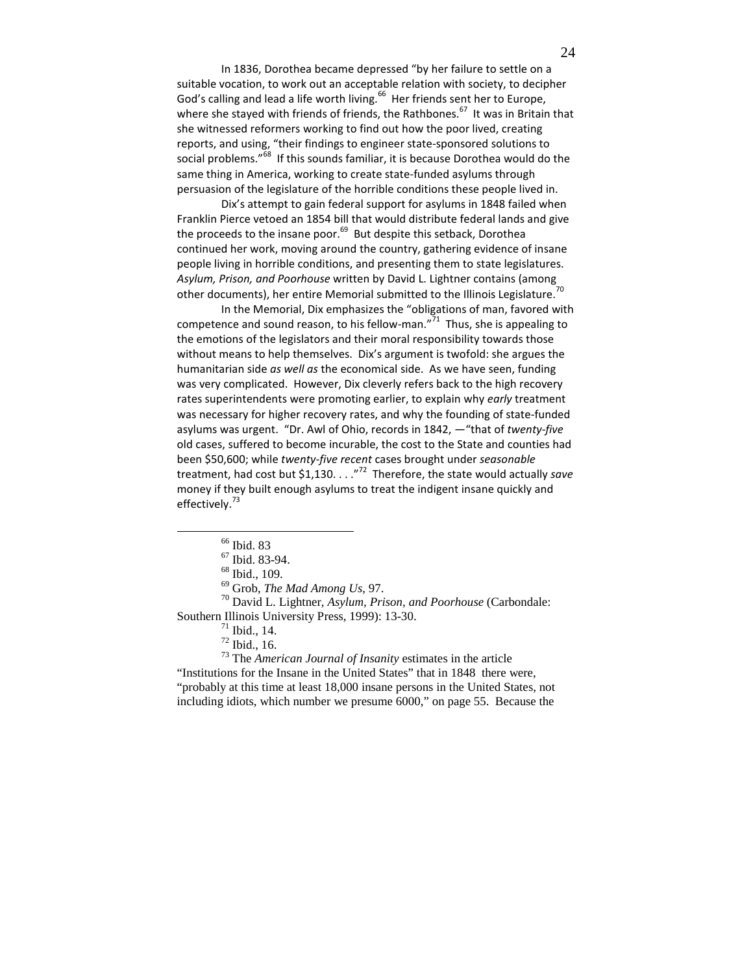In 1836, Dorothea became depressed "by her failure to settle on a suitable vocation, to work out an acceptable relation with society, to decipher God's calling and lead a life worth living.<sup>66</sup> Her friends sent her to Europe, where she stayed with friends of friends, the Rathbones.<sup>67</sup> It was in Britain that she witnessed reformers working to find out how the poor lived, creating reports, and using, "their findings to engineer state-sponsored solutions to social problems."<sup>68</sup> If this sounds familiar, it is because Dorothea would do the same thing in America, working to create state-funded asylums through persuasion of the legislature of the horrible conditions these people lived in.

Dix's attempt to gain federal support for asylums in 1848 failed when Franklin Pierce vetoed an 1854 bill that would distribute federal lands and give the proceeds to the insane poor.<sup>69</sup> But despite this setback, Dorothea continued her work, moving around the country, gathering evidence of insane people living in horrible conditions, and presenting them to state legislatures. Asylum, Prison, and Poorhouse written by David L. Lightner contains (among<br>Asylum, Prison, and Poorhouse written by David L. Lightner contains (among other documents), her entire Memorial submitted to the Illinois Legislature.

In the Memorial, Dix emphasizes the "obligations of man, favored with competence and sound reason, to his fellow-man." $71$  Thus, she is appealing to the emotions of the legislators and their moral responsibility towards those without means to help themselves. Dix's argument is twofold: she argues the humanitarian side as well as the economical side. As we have seen, funding was very complicated. However, Dix cleverly refers back to the high recovery rates superintendents were promoting earlier, to explain why early treatment was necessary for higher recovery rates, and why the founding of state-funded asylums was urgent. "Dr. Awl of Ohio, records in 1842, —"that of twenty-five old cases, suffered to become incurable, the cost to the State and counties had been \$50,600; while twenty-five recent cases brought under seasonable treatment, had cost but \$1,130.  $\ldots$ <sup>72</sup> Therefore, the state would actually save money if they built enough asylums to treat the indigent insane quickly and effectively.<sup>73</sup>

 $\overline{a}$ 

<sup>70</sup> David L. Lightner, *Asylum, Prison, and Poorhouse* (Carbondale: Southern Illinois University Press, 1999): 13-30.

<sup>73</sup> The *American Journal of Insanity* estimates in the article "Institutions for the Insane in the United States" that in 1848 there were, "probably at this time at least 18,000 insane persons in the United States, not including idiots, which number we presume 6000," on page 55. Because the

<sup>66</sup> Ibid. 83

<sup>67</sup> Ibid. 83-94.

<sup>68</sup> Ibid., 109.

<sup>69</sup> Grob, *The Mad Among Us*, 97.

 $71$  Ibid., 14.

<sup>72</sup> Ibid., 16.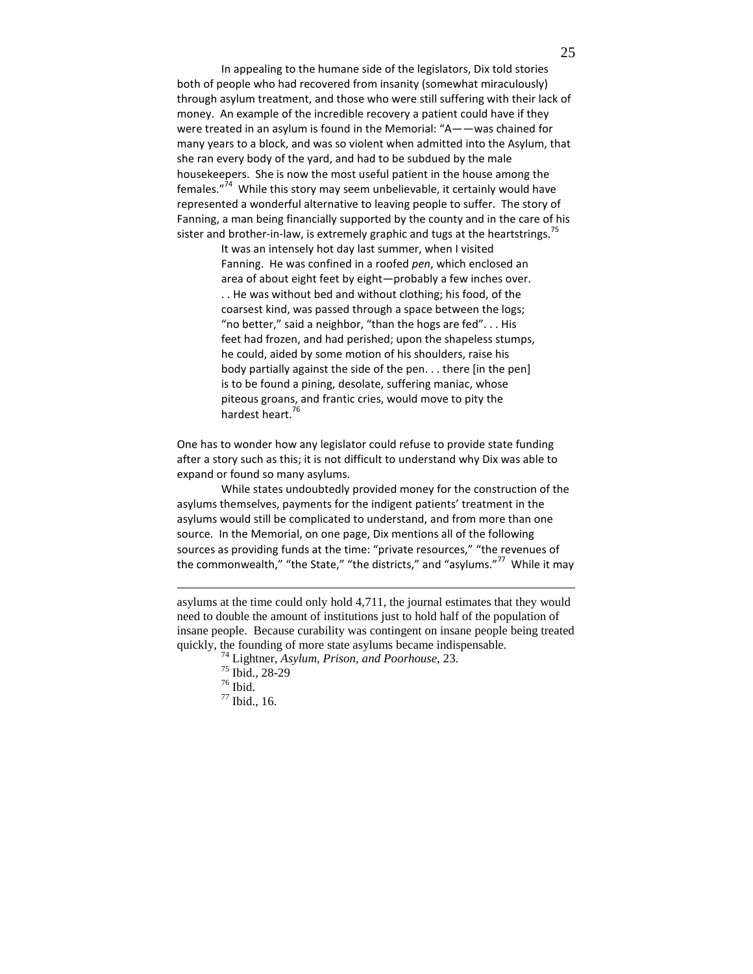In appealing to the humane side of the legislators, Dix told stories both of people who had recovered from insanity (somewhat miraculously) through asylum treatment, and those who were still suffering with their lack of money. An example of the incredible recovery a patient could have if they were treated in an asylum is found in the Memorial: "A——was chained for many years to a block, and was so violent when admitted into the Asylum, that she ran every body of the yard, and had to be subdued by the male housekeepers. She is now the most useful patient in the house among the females."<sup>74</sup> While this story may seem unbelievable, it certainly would have represented a wonderful alternative to leaving people to suffer. The story of Fanning, a man being financially supported by the county and in the care of his sister and brother-in-law, is extremely graphic and tugs at the heartstrings.<sup>75</sup>

> It was an intensely hot day last summer, when I visited Fanning. He was confined in a roofed pen, which enclosed an area of about eight feet by eight—probably a few inches over. . . He was without bed and without clothing; his food, of the coarsest kind, was passed through a space between the logs; "no better," said a neighbor, "than the hogs are fed". . . His feet had frozen, and had perished; upon the shapeless stumps, he could, aided by some motion of his shoulders, raise his body partially against the side of the pen. . . there [in the pen] is to be found a pining, desolate, suffering maniac, whose piteous groans, and frantic cries, would move to pity the hardest heart.<sup>76</sup>

One has to wonder how any legislator could refuse to provide state funding after a story such as this; it is not difficult to understand why Dix was able to expand or found so many asylums.

While states undoubtedly provided money for the construction of the asylums themselves, payments for the indigent patients' treatment in the asylums would still be complicated to understand, and from more than one source. In the Memorial, on one page, Dix mentions all of the following sources as providing funds at the time: "private resources," "the revenues of the commonwealth," "the State," "the districts," and "asylums."<sup>77</sup> While it may

asylums at the time could only hold 4,711, the journal estimates that they would need to double the amount of institutions just to hold half of the population of insane people. Because curability was contingent on insane people being treated quickly, the founding of more state asylums became indispensable.

<sup>74</sup> Lightner, *Asylum, Prison, and Poorhouse*, 23.

<sup>75</sup> Ibid., 28-29

 $^{\rm 76}$  Ibid.

<sup>77</sup> Ibid., 16.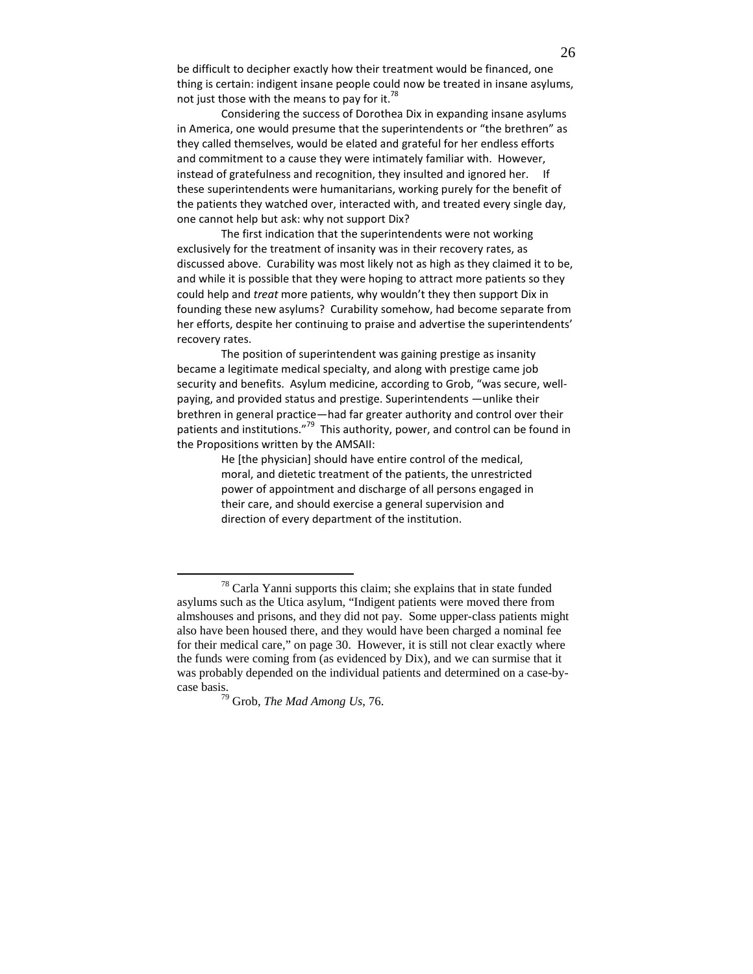be difficult to decipher exactly how their treatment would be financed, one thing is certain: indigent insane people could now be treated in insane asylums, not just those with the means to pay for it.<sup>78</sup>

Considering the success of Dorothea Dix in expanding insane asylums in America, one would presume that the superintendents or "the brethren" as they called themselves, would be elated and grateful for her endless efforts and commitment to a cause they were intimately familiar with. However, instead of gratefulness and recognition, they insulted and ignored her. If these superintendents were humanitarians, working purely for the benefit of the patients they watched over, interacted with, and treated every single day, one cannot help but ask: why not support Dix?

The first indication that the superintendents were not working exclusively for the treatment of insanity was in their recovery rates, as discussed above. Curability was most likely not as high as they claimed it to be, and while it is possible that they were hoping to attract more patients so they could help and treat more patients, why wouldn't they then support Dix in founding these new asylums? Curability somehow, had become separate from her efforts, despite her continuing to praise and advertise the superintendents' recovery rates.

The position of superintendent was gaining prestige as insanity became a legitimate medical specialty, and along with prestige came job security and benefits. Asylum medicine, according to Grob, "was secure, wellpaying, and provided status and prestige. Superintendents —unlike their brethren in general practice—had far greater authority and control over their patients and institutions."<sup>79</sup> This authority, power, and control can be found in the Propositions written by the AMSAII:

> He [the physician] should have entire control of the medical, moral, and dietetic treatment of the patients, the unrestricted power of appointment and discharge of all persons engaged in their care, and should exercise a general supervision and direction of every department of the institution.

 $78$  Carla Yanni supports this claim; she explains that in state funded asylums such as the Utica asylum, "Indigent patients were moved there from almshouses and prisons, and they did not pay. Some upper-class patients might also have been housed there, and they would have been charged a nominal fee for their medical care," on page 30. However, it is still not clear exactly where the funds were coming from (as evidenced by Dix), and we can surmise that it was probably depended on the individual patients and determined on a case-bycase basis.

<sup>79</sup> Grob, *The Mad Among Us*, 76.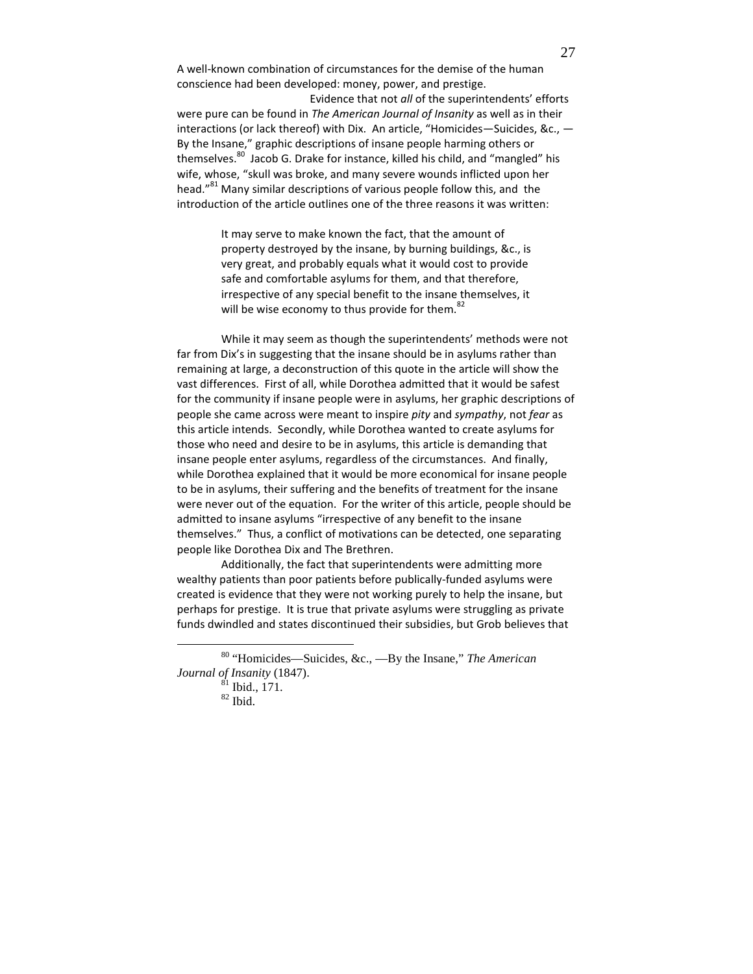A well-known combination of circumstances for the demise of the human conscience had been developed: money, power, and prestige.

 Evidence that not all of the superintendents' efforts were pure can be found in The American Journal of Insanity as well as in their interactions (or lack thereof) with Dix. An article, "Homicides—Suicides, &c., — By the Insane," graphic descriptions of insane people harming others or themselves.<sup>80</sup> Jacob G. Drake for instance, killed his child, and "mangled" his wife, whose, "skull was broke, and many severe wounds inflicted upon her head."<sup>81</sup> Many similar descriptions of various people follow this, and the introduction of the article outlines one of the three reasons it was written:

> It may serve to make known the fact, that the amount of property destroyed by the insane, by burning buildings, &c., is very great, and probably equals what it would cost to provide safe and comfortable asylums for them, and that therefore, irrespective of any special benefit to the insane themselves, it will be wise economy to thus provide for them.<sup>82</sup>

While it may seem as though the superintendents' methods were not far from Dix's in suggesting that the insane should be in asylums rather than remaining at large, a deconstruction of this quote in the article will show the vast differences. First of all, while Dorothea admitted that it would be safest for the community if insane people were in asylums, her graphic descriptions of people she came across were meant to inspire *pity* and *sympathy*, not *fear* as this article intends. Secondly, while Dorothea wanted to create asylums for those who need and desire to be in asylums, this article is demanding that insane people enter asylums, regardless of the circumstances. And finally, while Dorothea explained that it would be more economical for insane people to be in asylums, their suffering and the benefits of treatment for the insane were never out of the equation. For the writer of this article, people should be admitted to insane asylums "irrespective of any benefit to the insane themselves." Thus, a conflict of motivations can be detected, one separating people like Dorothea Dix and The Brethren.

Additionally, the fact that superintendents were admitting more wealthy patients than poor patients before publically-funded asylums were created is evidence that they were not working purely to help the insane, but perhaps for prestige. It is true that private asylums were struggling as private funds dwindled and states discontinued their subsidies, but Grob believes that

<sup>80</sup> "Homicides—Suicides, &c., —By the Insane," *The American Journal of Insanity* (1847).

 $^{81}$  Ibid., 171.

 $82$  Ibid.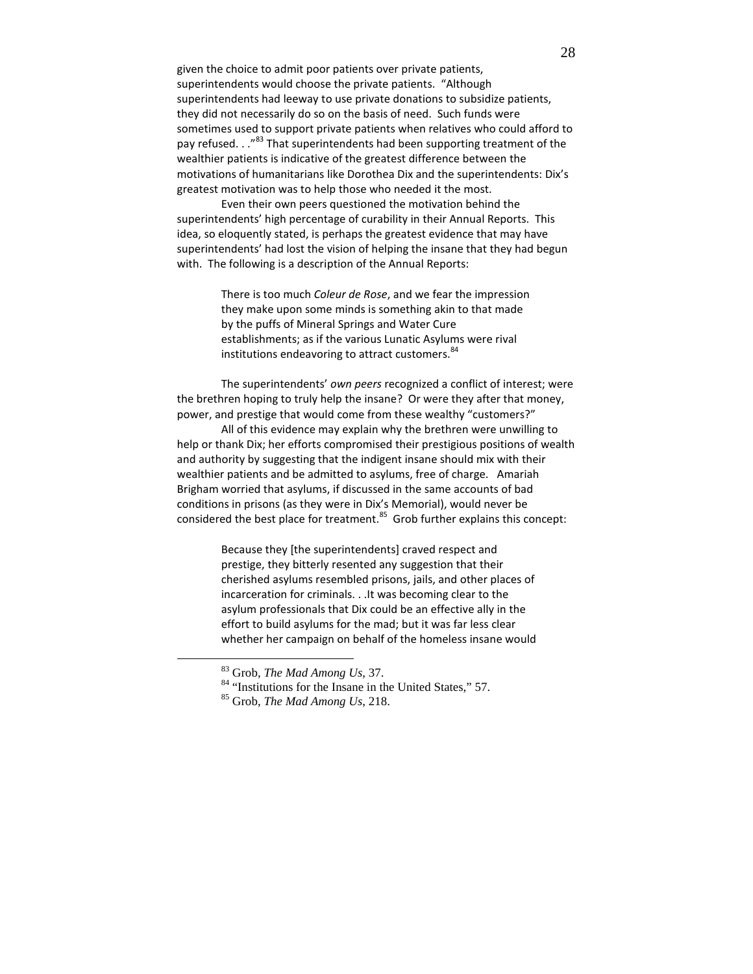given the choice to admit poor patients over private patients, superintendents would choose the private patients. "Although superintendents had leeway to use private donations to subsidize patients, they did not necessarily do so on the basis of need. Such funds were sometimes used to support private patients when relatives who could afford to pay refused. . ."<sup>83</sup> That superintendents had been supporting treatment of the wealthier patients is indicative of the greatest difference between the motivations of humanitarians like Dorothea Dix and the superintendents: Dix's greatest motivation was to help those who needed it the most.

Even their own peers questioned the motivation behind the superintendents' high percentage of curability in their Annual Reports. This idea, so eloquently stated, is perhaps the greatest evidence that may have superintendents' had lost the vision of helping the insane that they had begun with. The following is a description of the Annual Reports:

> There is too much Coleur de Rose, and we fear the impression they make upon some minds is something akin to that made by the puffs of Mineral Springs and Water Cure establishments; as if the various Lunatic Asylums were rival institutions endeavoring to attract customers.<sup>84</sup>

The superintendents' own peers recognized a conflict of interest; were the brethren hoping to truly help the insane? Or were they after that money, power, and prestige that would come from these wealthy "customers?"

All of this evidence may explain why the brethren were unwilling to help or thank Dix; her efforts compromised their prestigious positions of wealth and authority by suggesting that the indigent insane should mix with their wealthier patients and be admitted to asylums, free of charge. Amariah Brigham worried that asylums, if discussed in the same accounts of bad conditions in prisons (as they were in Dix's Memorial), would never be considered the best place for treatment. $85$  Grob further explains this concept:

> Because they [the superintendents] craved respect and prestige, they bitterly resented any suggestion that their cherished asylums resembled prisons, jails, and other places of incarceration for criminals. . .It was becoming clear to the asylum professionals that Dix could be an effective ally in the effort to build asylums for the mad; but it was far less clear whether her campaign on behalf of the homeless insane would

<sup>83</sup> Grob, *The Mad Among Us*, 37.

<sup>&</sup>lt;sup>84</sup> "Institutions for the Insane in the United States," 57.

<sup>85</sup> Grob, *The Mad Among Us*, 218.